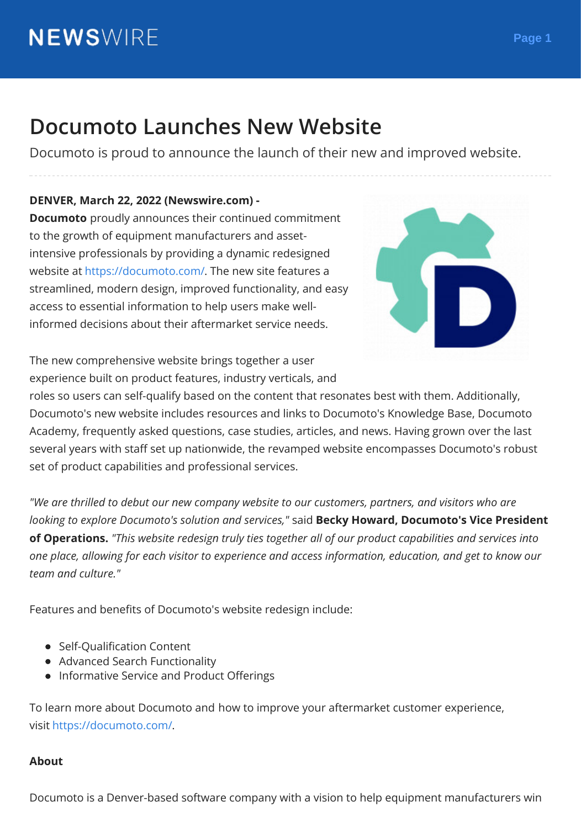# **Documoto Launches New Website**

Documoto is proud to announce the launch of their new and improved website.

#### **DENVER, March 22, 2022 (Newswire.com) -**

**Documoto** proudly announces their continued commitment to the growth of equipment manufacturers and assetintensive professionals by providing a dynamic redesigned website at [https://documoto.com/.](https://stats.newswire.com/x/html?final=aHR0cHM6Ly9kb2N1bW90by5jb20v&hit%2Csum=WyIzZ2M5cjEiLCIzZ2M5cjMiLCIzZ2M5cjUiXQ) The new site features a streamlined, modern design, improved functionality, and easy access to essential information to help users make wellinformed decisions about their aftermarket service needs.



The new comprehensive website brings together a user experience built on product features, industry verticals, and

roles so users can self-qualify based on the content that resonates best with them. Additionally, Documoto's new website includes resources and links to Documoto's Knowledge Base, Documoto Academy, frequently asked questions, case studies, articles, and news. Having grown over the last several years with staff set up nationwide, the revamped website encompasses Documoto's robust set of product capabilities and professional services.

*"We are thrilled to debut our new company website to our customers, partners, and visitors who are looking to explore Documoto's solution and services,"* said **Becky Howard, Documoto's Vice President of Operations.** *"This website redesign truly ties together all of our product capabilities and services into one place, allowing for each visitor to experience and access information, education, and get to know our team and culture."*

Features and benefits of Documoto's website redesign include:

- Self-Qualification Content
- Advanced Search Functionality
- Informative Service and Product Offerings

To learn more about Documoto and how to improve your aftermarket customer experience, visit [https://documoto.com/.](https://stats.newswire.com/x/html?final=aHR0cHM6Ly9kb2N1bW90by5jb20v&hit%2Csum=WyIzZ2M5cjEiLCIzZ2M5cjMiLCIzZ2M5cjUiXQ)

#### **About**

Documoto is a Denver-based software company with a vision to help equipment manufacturers win